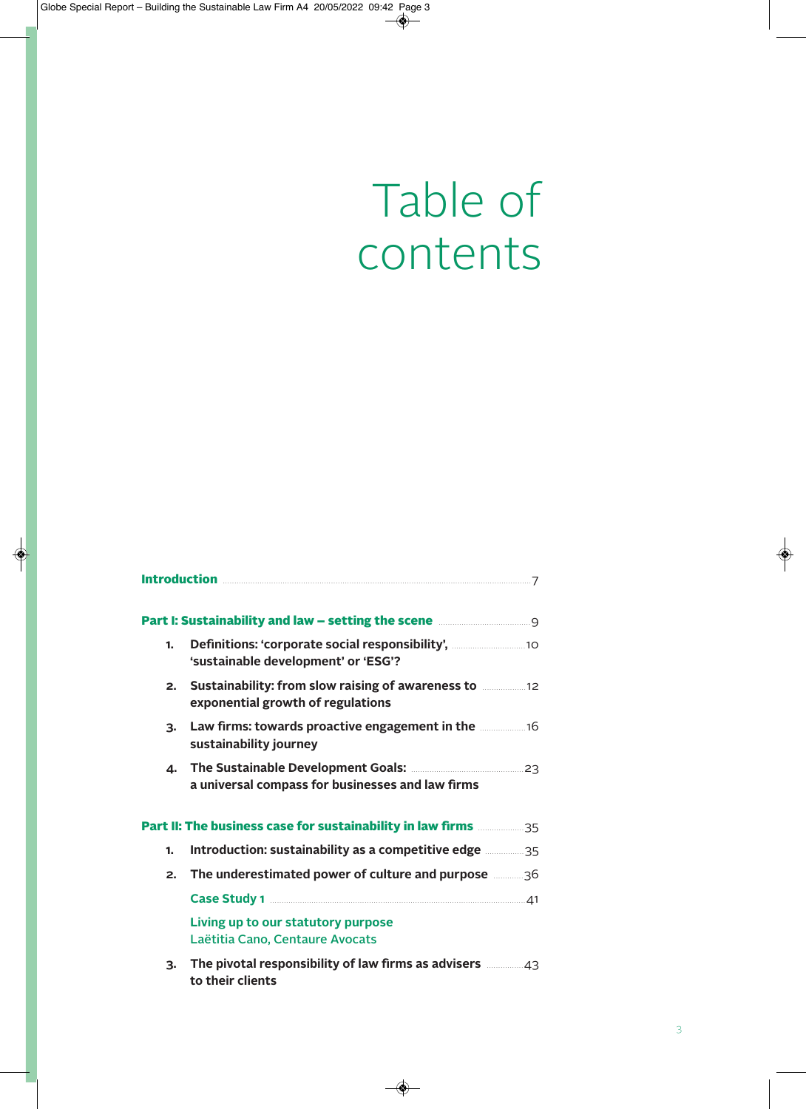## Table of contents

| <b>Introduction</b>                                                                  |                                                                                                                                                                    |  |
|--------------------------------------------------------------------------------------|--------------------------------------------------------------------------------------------------------------------------------------------------------------------|--|
|                                                                                      |                                                                                                                                                                    |  |
| Part I: Sustainability and law - setting the scene <b>manually setting</b> the scene |                                                                                                                                                                    |  |
| 1.                                                                                   | 'sustainable development' or 'ESG'?                                                                                                                                |  |
| 2.                                                                                   | Sustainability: from slow raising of awareness to <b>manufatility</b> : from slow raising of awareness to <b>manufatility</b><br>exponential growth of regulations |  |
| 3.                                                                                   | Law firms: towards proactive engagement in the <b>manual</b> 16<br>sustainability journey                                                                          |  |
| 4.                                                                                   | a universal compass for businesses and law firms                                                                                                                   |  |
| Part II: The business case for sustainability in law firms <b>manually 15</b>        |                                                                                                                                                                    |  |
| 1.                                                                                   | Introduction: sustainability as a competitive edge <b>35</b>                                                                                                       |  |
| 2.                                                                                   | The underestimated power of culture and purpose <b>manning</b> 36                                                                                                  |  |
|                                                                                      |                                                                                                                                                                    |  |
|                                                                                      | Living up to our statutory purpose<br>Laëtitia Cano, Centaure Avocats                                                                                              |  |
| 3.                                                                                   | The pivotal responsibility of law firms as advisers <b>manuform</b> 43<br>to their clients                                                                         |  |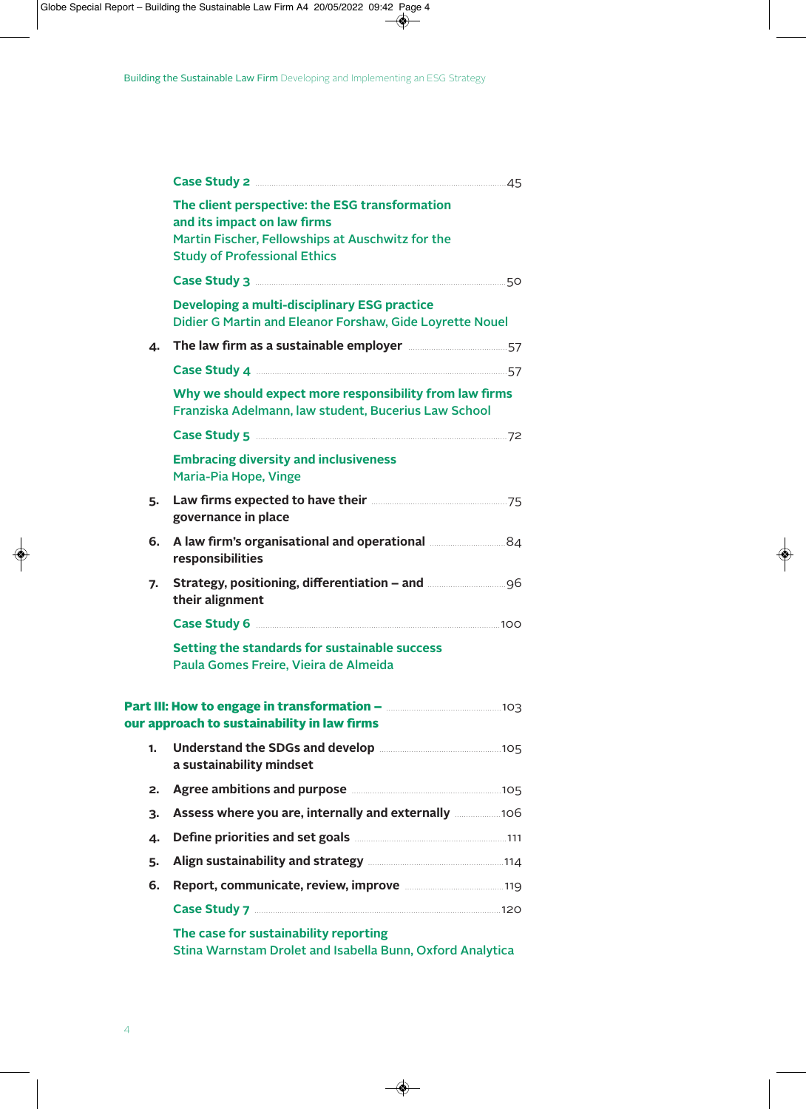|    | The client perspective: the ESG transformation<br>and its impact on law firms<br>Martin Fischer, Fellowships at Auschwitz for the<br><b>Study of Professional Ethics</b> |  |
|----|--------------------------------------------------------------------------------------------------------------------------------------------------------------------------|--|
|    |                                                                                                                                                                          |  |
|    | Developing a multi-disciplinary ESG practice<br>Didier G Martin and Eleanor Forshaw, Gide Loyrette Nouel                                                                 |  |
| 4. | The law firm as a sustainable employer <b>manually contained</b> 57                                                                                                      |  |
|    |                                                                                                                                                                          |  |
|    | Why we should expect more responsibility from law firms<br>Franziska Adelmann, law student, Bucerius Law School                                                          |  |
|    |                                                                                                                                                                          |  |
|    | <b>Embracing diversity and inclusiveness</b><br>Maria-Pia Hope, Vinge                                                                                                    |  |
| 5. | governance in place                                                                                                                                                      |  |
| 6. | A law firm's organisational and operational <b>Manufation</b> 84<br>responsibilities                                                                                     |  |
| 7. | Strategy, positioning, differentiation - and manual manual set<br>their alignment                                                                                        |  |
|    |                                                                                                                                                                          |  |
|    | Setting the standards for sustainable success<br>Paula Gomes Freire, Vieira de Almeida                                                                                   |  |
|    | our approach to sustainability in law firms                                                                                                                              |  |
| 1. | Understand the SDGs and develop <b>Manual</b> 2016 105<br>a sustainability mindset                                                                                       |  |
| 2. | Agree ambitions and purpose <b>Manual Agree ambitions</b> and purpose                                                                                                    |  |
| 3. | Assess where you are, internally and externally <b>106</b>                                                                                                               |  |
| 4. | Define priorities and set goals <b>Manual According to the Contract Priorities</b> 111                                                                                   |  |
| 5. | Align sustainability and strategy <b>Manual Strategy</b> 114                                                                                                             |  |
| 6. | Report, communicate, review, improve <b>manually and the Report</b> , communicate, review, improve                                                                       |  |
|    |                                                                                                                                                                          |  |
|    | The case for sustainability reporting<br>Stina Warnstam Drolet and Isabella Bunn, Oxford Analytica                                                                       |  |